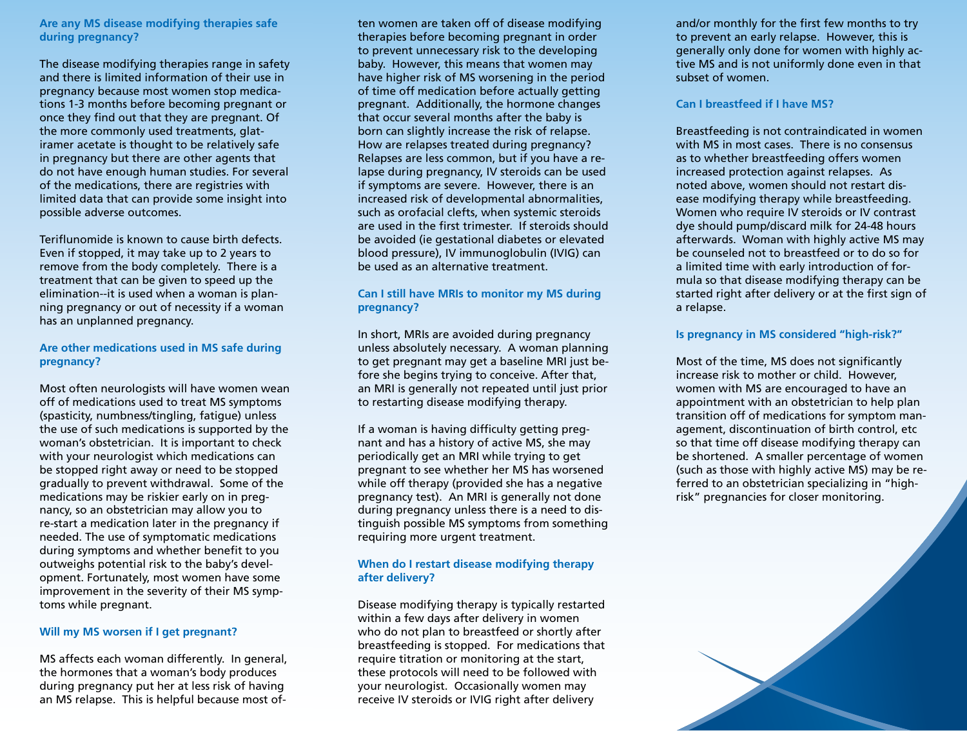**Are any MS disease modifying therapies safe during pregnancy?**

The disease modifying therapies range in safety and there is limited information of their use in pregnancy because most women stop medications 1-3 months before becoming pregnant or once they find out that they are pregnant. Of the more commonly used treatments, glatiramer acetate is thought to be relatively safe in pregnancy but there are other agents that do not have enough human studies. For several of the medications, there are registries with limited data that can provide some insight into possible adverse outcomes.

Teriflunomide is known to cause birth defects. Even if stopped, it may take up to 2 years to remove from the body completely. There is a treatment that can be given to speed up the elimination--it is used when a woman is planning pregnancy or out of necessity if a woman has an unplanned pregnancy.

#### **Are other medications used in MS safe during pregnancy?**

Most often neurologists will have women wean off of medications used to treat MS symptoms (spasticity, numbness/tingling, fatigue) unless the use of such medications is supported by the woman's obstetrician. It is important to check with your neurologist which medications can be stopped right away or need to be stopped gradually to prevent withdrawal. Some of the medications may be riskier early on in pregnancy, so an obstetrician may allow you to re-start a medication later in the pregnancy if needed. The use of symptomatic medications during symptoms and whether benefit to you outweighs potential risk to the baby's development. Fortunately, most women have some improvement in the severity of their MS symptoms while pregnant.

## **Will my MS worsen if I get pregnant?**

MS affects each woman differently. In general, the hormones that a woman's body produces during pregnancy put her at less risk of having an MS relapse. This is helpful because most of-

ten women are taken off of disease modifying therapies before becoming pregnant in order to prevent unnecessary risk to the developing baby. However, this means that women may have higher risk of MS worsening in the period of time off medication before actually getting pregnant. Additionally, the hormone changes that occur several months after the baby is born can slightly increase the risk of relapse. How are relapses treated during pregnancy? Relapses are less common, but if you have a relapse during pregnancy, IV steroids can be used if symptoms are severe. However, there is an increased risk of developmental abnormalities, such as orofacial clefts, when systemic steroids are used in the first trimester. If steroids should be avoided (ie gestational diabetes or elevated blood pressure), IV immunoglobulin (IVIG) can be used as an alternative treatment.

## **Can I still have MRIs to monitor my MS during pregnancy?**

In short, MRIs are avoided during pregnancy unless absolutely necessary. A woman planning to get pregnant may get a baseline MRI just before she begins trying to conceive. After that, an MRI is generally not repeated until just prior to restarting disease modifying therapy.

If a woman is having difficulty getting pregnant and has a history of active MS, she may periodically get an MRI while trying to get pregnant to see whether her MS has worsened while off therapy (provided she has a negative pregnancy test). An MRI is generally not done during pregnancy unless there is a need to distinguish possible MS symptoms from something requiring more urgent treatment.

## **When do I restart disease modifying therapy after delivery?**

Disease modifying therapy is typically restarted within a few days after delivery in women who do not plan to breastfeed or shortly after breastfeeding is stopped. For medications that require titration or monitoring at the start, these protocols will need to be followed with your neurologist. Occasionally women may receive IV steroids or IVIG right after delivery

and/or monthly for the first few months to try to prevent an early relapse. However, this is generally only done for women with highly active MS and is not uniformly done even in that subset of women.

#### **Can I breastfeed if I have MS?**

Breastfeeding is not contraindicated in women with MS in most cases. There is no consensus as to whether breastfeeding offers women increased protection against relapses. As noted above, women should not restart disease modifying therapy while breastfeeding. Women who require IV steroids or IV contrast dye should pump/discard milk for 24-48 hours afterwards. Woman with highly active MS may be counseled not to breastfeed or to do so for a limited time with early introduction of formula so that disease modifying therapy can be started right after delivery or at the first sign of a relapse.

## **Is pregnancy in MS considered "high-risk?"**

Most of the time, MS does not significantly increase risk to mother or child. However, women with MS are encouraged to have an appointment with an obstetrician to help plan transition off of medications for symptom management, discontinuation of birth control, etc so that time off disease modifying therapy can be shortened. A smaller percentage of women (such as those with highly active MS) may be referred to an obstetrician specializing in "highrisk" pregnancies for closer monitoring.